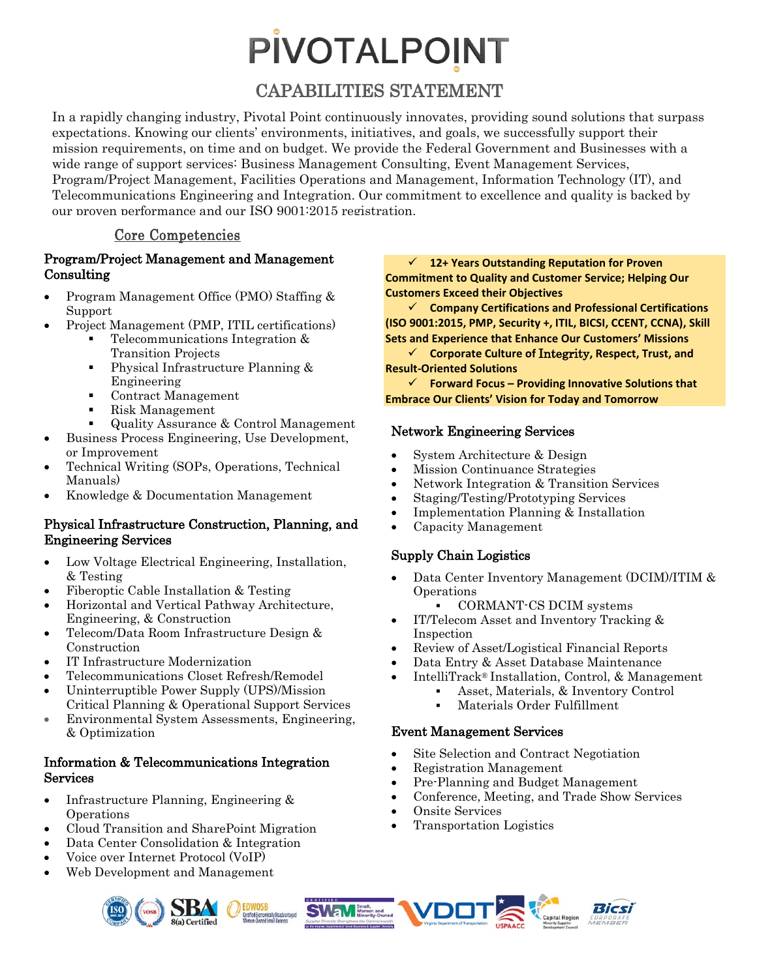## **PIVOTALPOINT**

#### CAPABILITIES STATEMENT

In a rapidly changing industry, Pivotal Point continuously innovates, providing sound solutions that surpass expectations. Knowing our clients' environments, initiatives, and goals, we successfully support their mission requirements, on time and on budget. We provide the Federal Government and Businesses with a wide range of support services: Business Management Consulting, Event Management Services, Program/Project Management, Facilities Operations and Management, Information Technology (IT), and Telecommunications Engineering and Integration. Our commitment to excellence and quality is backed by our proven performance and our ISO 9001:2015 registration.

#### Core Competencies

#### Program/Project Management and Management Consulting

- Program Management Office (PMO) Staffing & Support
- Project Management (PMP, ITIL certifications)
	- Telecommunications Integration & Transition Projects
	- **Physical Infrastructure Planning &** Engineering
	- Contract Management
	- Risk Management
	- Quality Assurance & Control Management
- Business Process Engineering, Use Development, or Improvement
- Technical Writing (SOPs, Operations, Technical Manuals)
- Knowledge & Documentation Management

#### Physical Infrastructure Construction, Planning, and Engineering Services

- Low Voltage Electrical Engineering, Installation, & Testing
- Fiberoptic Cable Installation & Testing
- Horizontal and Vertical Pathway Architecture, Engineering, & Construction
- Telecom/Data Room Infrastructure Design & Construction
- IT Infrastructure Modernization
- Telecommunications Closet Refresh/Remodel
- Uninterruptible Power Supply (UPS)/Mission Critical Planning & Operational Support Services
- Environmental System Assessments, Engineering, & Optimization

#### Information & Telecommunications Integration Services

- Infrastructure Planning, Engineering & Operations
- Cloud Transition and SharePoint Migration

5В/ **3(a)** Certified

- Data Center Consolidation & Integration
- Voice over Internet Protocol (VoIP)
- Web Development and Management

#### **12+ Years Outstanding Reputation for Proven Commitment to Quality and Customer Service; Helping Our Customers Exceed their Objectives**

 **Company Certifications and Professional Certifications (ISO 9001:2015, PMP, Security +, ITIL, BICSI, CCENT, CCNA), Skill Sets and Experience that Enhance Our Customers' Missions**

 **Corporate Culture of** Integrity**, Respect, Trust, and Result-Oriented Solutions**

 **Forward Focus – Providing Innovative Solutions that Embrace Our Clients' Vision for Today and Tomorrow**

#### Network Engineering Services

- System Architecture & Design
- Mission Continuance Strategies
- Network Integration & Transition Services
- Staging/Testing/Prototyping Services
- Implementation Planning & Installation
- Capacity Management

#### Supply Chain Logistics

- Data Center Inventory Management (DCIM)/ITIM & Operations
	- CORMANT-CS DCIM systems
- IT/Telecom Asset and Inventory Tracking & Inspection
- Review of Asset/Logistical Financial Reports
- Data Entry & Asset Database Maintenance
- IntelliTrack® Installation, Control, & Management
	- Asset, Materials, & Inventory Control
	- Materials Order Fulfillment

#### Event Management Services

- Site Selection and Contract Negotiation
- Registration Management
- Pre-Planning and Budget Management
- Conference, Meeting, and Trade Show Services
- Onsite Services
- Transportation Logistics